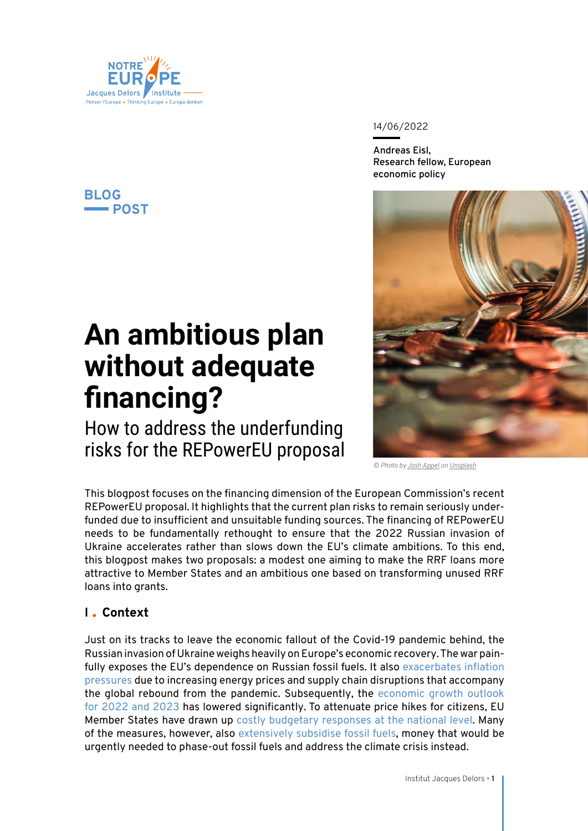

### **BLOG POST**

# **An ambitious plan without adequate financing?**

How to address the underfunding risks for the REPowerEU proposal 14/06/2022

**Andreas Eisl, Research fellow, European economic policy**



*© Photo by [Josh Appel](https://unsplash.com/@joshappel?utm_source=unsplash&utm_medium=referral&utm_content=creditCopyText) on [Unsplash](https://unsplash.com/)*

This blogpost focuses on the financing dimension of the European Commission's recent REPowerEU proposal. It highlights that the current plan risks to remain seriously underfunded due to insufficient and unsuitable funding sources. The financing of REPowerEU needs to be fundamentally rethought to ensure that the 2022 Russian invasion of Ukraine accelerates rather than slows down the EU's climate ambitions. To this end, this blogpost makes two proposals: a modest one aiming to make the RRF loans more attractive to Member States and an ambitious one based on transforming unused RRF loans into grants.

## **I Context**

Just on its tracks to leave the economic fallout of the Covid-19 pandemic behind, the Russian invasion of Ukraine weighs heavily on Europe's economic recovery. The war painfully exposes the EU's dependence on Russian fossil fuels. It also exacerbates inflation [pressures](https://institutdelors.eu/wp-content/uploads/2021/10/PB_211006_Prix-de-lenergie_Nguyen-Pellerin-Carlin_EN.pdf) due to increasing energy prices and supply chain disruptions that accompany the global rebound from the pandemic. Subsequently, the [economic growth outlook](https://ec.europa.eu/info/system/files/economy-finance/ip173_en.pdf)  [for 2022 and 2023](https://ec.europa.eu/info/system/files/economy-finance/ip173_en.pdf) has lowered significantly. To attenuate price hikes for citizens, EU Member States have drawn up [costly budgetary responses at the national level.](https://www.bruegel.org/publications/datasets/national-policies-to-shield-consumers-from-rising-energy-prices/) Many of the measures, however, also [extensively subsidise fossil fuels,](https://institutdelors.eu/publications/united-in-diversity-national-responses-to-the-european-energy-crisis/) money that would be urgently needed to phase-out fossil fuels and address the climate crisis instead.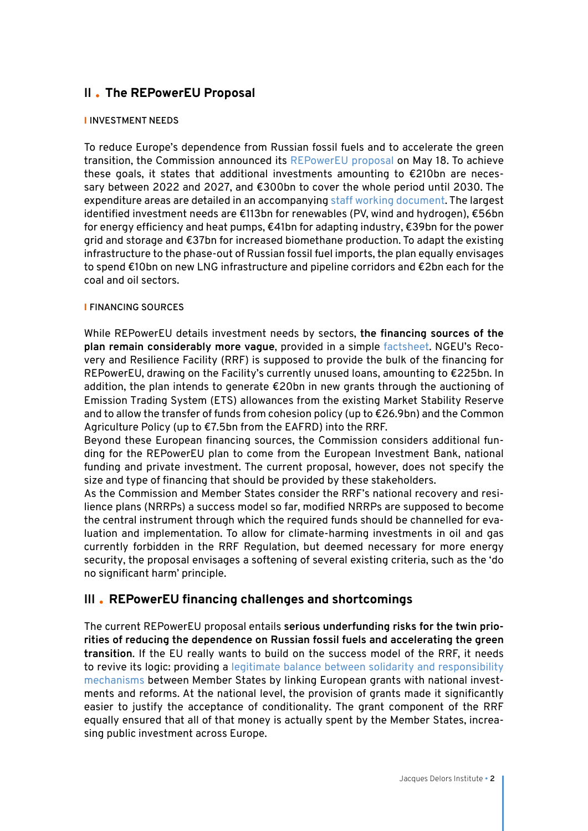# **II The REPowerEU Proposal**

#### I **INVESTMENT NEEDS**

To reduce Europe's dependence from Russian fossil fuels and to accelerate the green transition, the Commission announced its [REPowerEU proposal](https://ec.europa.eu/commission/presscorner/detail/en/IP_22_3131) on May 18. To achieve these goals, it states that additional investments amounting to  $\epsilon$ 210bn are necessary between 2022 and 2027, and €300bn to cover the whole period until 2030. The expenditure areas are detailed in an accompanying [staff working document.](https://eur-lex.europa.eu/legal-content/EN/TXT/PDF/?uri=CELEX:52022SC0230&from=EN) The largest identified investment needs are €113bn for renewables (PV, wind and hydrogen), €56bn for energy efficiency and heat pumps, €41bn for adapting industry, €39bn for the power grid and storage and €37bn for increased biomethane production. To adapt the existing infrastructure to the phase-out of Russian fossil fuel imports, the plan equally envisages to spend €10bn on new LNG infrastructure and pipeline corridors and €2bn each for the coal and oil sectors.

#### I **FINANCING SOURCES**

While REPowerEU details investment needs by sectors, **the financing sources of the plan remain considerably more vague**, provided in a simple [factsheet.](https://ec.europa.eu/commission/presscorner/api/files/attachment/872551/FS%20Financing%20REPowerEU.pdf.pdf) NGEU's Recovery and Resilience Facility (RRF) is supposed to provide the bulk of the financing for REPowerEU, drawing on the Facility's currently unused loans, amounting to €225bn. In addition, the plan intends to generate  $\epsilon$ 20bn in new grants through the auctioning of Emission Trading System (ETS) allowances from the existing Market Stability Reserve and to allow the transfer of funds from cohesion policy (up to €26.9bn) and the Common Agriculture Policy (up to €7.5bn from the EAFRD) into the RRF.

Beyond these European financing sources, the Commission considers additional funding for the REPowerEU plan to come from the European Investment Bank, national funding and private investment. The current proposal, however, does not specify the size and type of financing that should be provided by these stakeholders.

As the Commission and Member States consider the RRF's national recovery and resilience plans (NRRPs) a success model so far, modified NRRPs are supposed to become the central instrument through which the required funds should be channelled for evaluation and implementation. To allow for climate-harming investments in oil and gas currently forbidden in the RRF Regulation, but deemed necessary for more energy security, the proposal envisages a softening of several existing criteria, such as the 'do no significant harm' principle.

### **III REPowerEU financing challenges and shortcomings**

The current REPowerEU proposal entails **serious underfunding risks for the twin priorities of reducing the dependence on Russian fossil fuels and accelerating the green transition**. If the EU really wants to build on the success model of the RRF, it needs to revive its logic: providing a [legitimate balance between solidarity and responsibility](https://institutdelors.eu/wp-content/uploads/2020/10/PP255_European-debt-mutualisation_Eisl_EN.pdf) [mechanisms](https://institutdelors.eu/wp-content/uploads/2020/10/PP255_European-debt-mutualisation_Eisl_EN.pdf) between Member States by linking European grants with national investments and reforms. At the national level, the provision of grants made it significantly easier to justify the acceptance of conditionality. The grant component of the RRF equally ensured that all of that money is actually spent by the Member States, increasing public investment across Europe.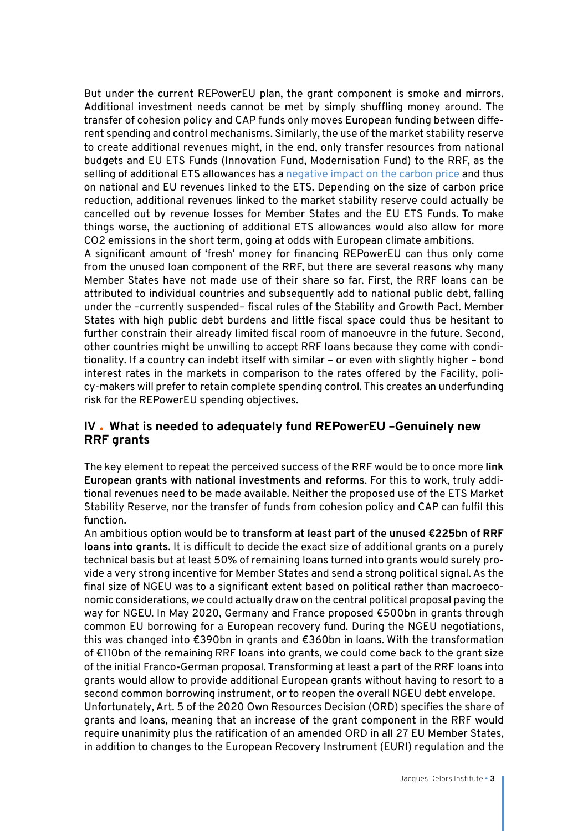But under the current REPowerEU plan, the grant component is smoke and mirrors. Additional investment needs cannot be met by simply shuffling money around. The transfer of cohesion policy and CAP funds only moves European funding between different spending and control mechanisms. Similarly, the use of the market stability reserve to create additional revenues might, in the end, only transfer resources from national budgets and EU ETS Funds (Innovation Fund, Modernisation Fund) to the RRF, as the selling of additional ETS allowances has a [negative impact on the carbon price](https://twitter.com/italiadati/status/1530217894902112258) and thus on national and EU revenues linked to the ETS. Depending on the size of carbon price reduction, additional revenues linked to the market stability reserve could actually be cancelled out by revenue losses for Member States and the EU ETS Funds. To make things worse, the auctioning of additional ETS allowances would also allow for more CO2 emissions in the short term, going at odds with European climate ambitions.

A significant amount of 'fresh' money for financing REPowerEU can thus only come from the unused loan component of the RRF, but there are several reasons why many Member States have not made use of their share so far. First, the RRF loans can be attributed to individual countries and subsequently add to national public debt, falling under the –currently suspended– fiscal rules of the Stability and Growth Pact. Member States with high public debt burdens and little fiscal space could thus be hesitant to further constrain their already limited fiscal room of manoeuvre in the future. Second, other countries might be unwilling to accept RRF loans because they come with conditionality. If a country can indebt itself with similar – or even with slightly higher – bond interest rates in the markets in comparison to the rates offered by the Facility, policy-makers will prefer to retain complete spending control. This creates an underfunding risk for the REPowerEU spending objectives.

#### **IV What is needed to adequately fund REPowerEU –Genuinely new RRF grants**

The key element to repeat the perceived success of the RRF would be to once more **link European grants with national investments and reforms**. For this to work, truly additional revenues need to be made available. Neither the proposed use of the ETS Market Stability Reserve, nor the transfer of funds from cohesion policy and CAP can fulfil this function.

An ambitious option would be to **transform at least part of the unused €225bn of RRF loans into grants**. It is difficult to decide the exact size of additional grants on a purely technical basis but at least 50% of remaining loans turned into grants would surely provide a very strong incentive for Member States and send a strong political signal. As the final size of NGEU was to a significant extent based on political rather than macroeconomic considerations, we could actually draw on the central political proposal paving the way for NGEU. In May 2020, Germany and France proposed €500bn in grants through common EU borrowing for a European recovery fund. During the NGEU negotiations, this was changed into €390bn in grants and €360bn in loans. With the transformation of €110bn of the remaining RRF loans into grants, we could come back to the grant size of the initial Franco-German proposal. Transforming at least a part of the RRF loans into grants would allow to provide additional European grants without having to resort to a second common borrowing instrument, or to reopen the overall NGEU debt envelope. Unfortunately, Art. 5 of the 2020 Own Resources Decision (ORD) specifies the share of grants and loans, meaning that an increase of the grant component in the RRF would require unanimity plus the ratification of an amended ORD in all 27 EU Member States, in addition to changes to the European Recovery Instrument (EURI) regulation and the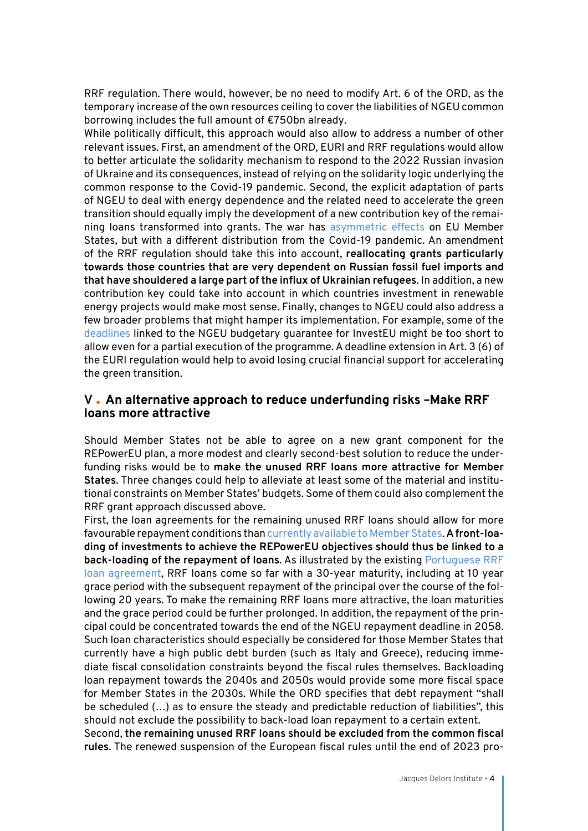RRF regulation. There would, however, be no need to modify Art. 6 of the ORD, as the temporary increase of the own resources ceiling to cover the liabilities of NGEU common borrowing includes the full amount of €750bn already.

While politically difficult, this approach would also allow to address a number of other relevant issues. First, an amendment of the ORD, EURI and RRF regulations would allow to better articulate the solidarity mechanism to respond to the 2022 Russian invasion of Ukraine and its consequences, instead of relying on the solidarity logic underlying the common response to the Covid-19 pandemic. Second, the explicit adaptation of parts of NGEU to deal with energy dependence and the related need to accelerate the green transition should equally imply the development of a new contribution key of the remaining loans transformed into grants. The war has [asymmetric effects](https://hertieschool-f4e6.kxcdn.com/fileadmin/2_Research/1_About_our_research/2_Research_centres/6_Jacques_Delors_Centre/Publications/20220307_Economic_Consequences_Ukraine_Redeker.pdf) on EU Member States, but with a different distribution from the Covid-19 pandemic. An amendment of the RRF regulation should take this into account, **reallocating grants particularly towards those countries that are very dependent on Russian fossil fuel imports and that have shouldered a large part of the influx of Ukrainian refugees**. In addition, a new contribution key could take into account in which countries investment in renewable energy projects would make most sense. Finally, changes to NGEU could also address a few broader problems that might hamper its implementation. For example, some of the [deadlines](https://investeu.europa.eu/document/download/b1836981-1d44-44d9-b5f6-5bb0d9c02e29_en?filename=InvestEU-Steering-Board-Minutes-meeting-5-20211206.pdf) linked to the NGEU budgetary guarantee for InvestEU might be too short to allow even for a partial execution of the programme. A deadline extension in Art. 3 (6) of the EURI regulation would help to avoid losing crucial financial support for accelerating the green transition.

#### **V An alternative approach to reduce underfunding risks –Make RRF loans more attractive**

Should Member States not be able to agree on a new grant component for the REPowerEU plan, a more modest and clearly second-best solution to reduce the underfunding risks would be to **make the unused RRF loans more attractive for Member States**. Three changes could help to alleviate at least some of the material and institutional constraints on Member States' budgets. Some of them could also complement the RRF grant approach discussed above.

First, the loan agreements for the remaining unused RRF loans should allow for more favourable repayment conditions than [currently available to Member States.](https://www.europarl.europa.eu/doceo/document/E-9-2021-003465-ASW_EN.html) **A front-loading of investments to achieve the REPowerEU objectives should thus be linked to a back-loading of the repayment of loans**. As illustrated by the existing [Portuguese RRF](https://recuperarportugal.gov.pt/wp-content/uploads/2021/10/Loan-Agreement.pdf) [loan agreement](https://recuperarportugal.gov.pt/wp-content/uploads/2021/10/Loan-Agreement.pdf), RRF loans come so far with a 30-year maturity, including at 10 year grace period with the subsequent repayment of the principal over the course of the following 20 years. To make the remaining RRF loans more attractive, the loan maturities and the grace period could be further prolonged. In addition, the repayment of the principal could be concentrated towards the end of the NGEU repayment deadline in 2058. Such loan characteristics should especially be considered for those Member States that currently have a high public debt burden (such as Italy and Greece), reducing immediate fiscal consolidation constraints beyond the fiscal rules themselves. Backloading loan repayment towards the 2040s and 2050s would provide some more fiscal space for Member States in the 2030s. While the ORD specifies that debt repayment "shall be scheduled (…) as to ensure the steady and predictable reduction of liabilities", this should not exclude the possibility to back-load loan repayment to a certain extent.

Second, **the remaining unused RRF loans should be excluded from the common fiscal rules**. The renewed suspension of the European fiscal rules until the end of 2023 pro